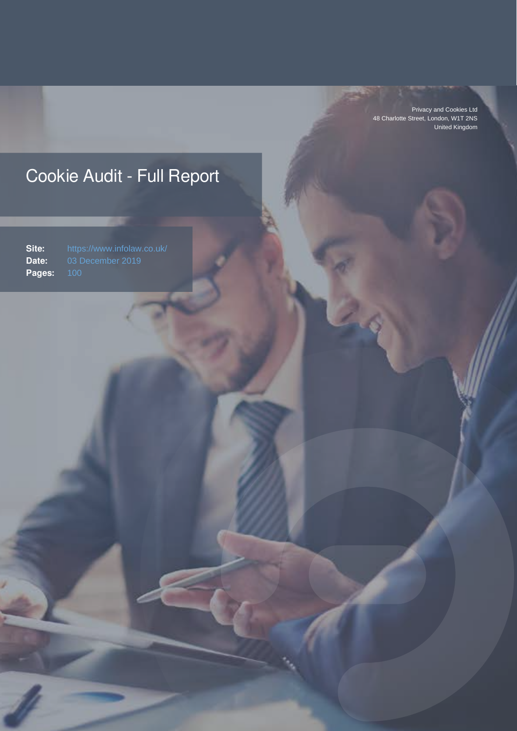Privacy and Cookies Ltd 48 Charlotte Street, London, W1T 2NS United Kingdom

### Cookie Audit - Full Report

**Site:** https://www.infolaw.co.uk/ **Date:** 03 December 2019<br>**Pages:** 100 Pages: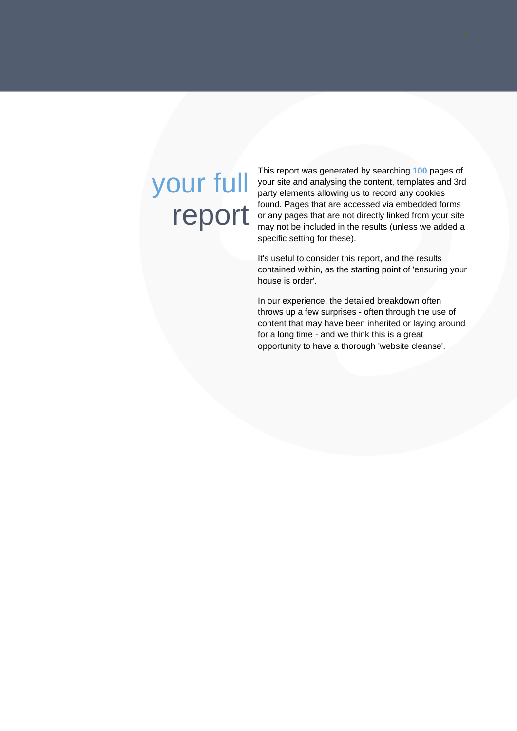# your full report

This report was generated by searching **100** pages of your site and analysing the content, templates and 3rd party elements allowing us to record any cookies found. Pages that are accessed via embedded forms or any pages that are not directly linked from your site may not be included in the results (unless we added a specific setting for these).

It's useful to consider this report, and the results contained within, as the starting point of 'ensuring your house is order'.

In our experience, the detailed breakdown often throws up a few surprises - often through the use of content that may have been inherited or laying around for a long time - and we think this is a great opportunity to have a thorough 'website cleanse'.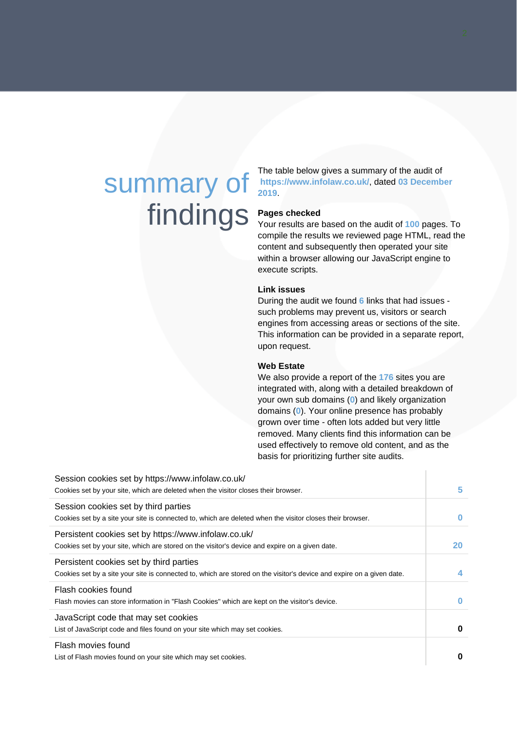## summary of findings

The table below gives a summary of the audit of **https://www.infolaw.co.uk/**, dated **03 December 2019**.

#### **Pages checked**

Your results are based on the audit of **100** pages. To compile the results we reviewed page HTML, read the content and subsequently then operated your site within a browser allowing our JavaScript engine to execute scripts.

#### **Link issues**

During the audit we found **6** links that had issues such problems may prevent us, visitors or search engines from accessing areas or sections of the site. This information can be provided in a separate report, upon request.

### **Web Estate**

We also provide a report of the **176** sites you are integrated with, along with a detailed breakdown of your own sub domains (**0**) and likely organization domains (**0**). Your online presence has probably grown over time - often lots added but very little removed. Many clients find this information can be used effectively to remove old content, and as the basis for prioritizing further site audits.

| Session cookies set by https://www.infolaw.co.uk/<br>Cookies set by your site, which are deleted when the visitor closes their browser.                          | 5        |
|------------------------------------------------------------------------------------------------------------------------------------------------------------------|----------|
| Session cookies set by third parties<br>Cookies set by a site your site is connected to, which are deleted when the visitor closes their browser.                | $\bf{0}$ |
| Persistent cookies set by https://www.infolaw.co.uk/<br>Cookies set by your site, which are stored on the visitor's device and expire on a given date.           | 20       |
| Persistent cookies set by third parties<br>Cookies set by a site your site is connected to, which are stored on the visitor's device and expire on a given date. | 4        |
| Flash cookies found<br>Flash movies can store information in "Flash Cookies" which are kept on the visitor's device.                                             | $\bf{0}$ |
| JavaScript code that may set cookies<br>List of JavaScript code and files found on your site which may set cookies.                                              | $\bf{0}$ |
| Flash movies found<br>List of Flash movies found on your site which may set cookies.                                                                             | 0        |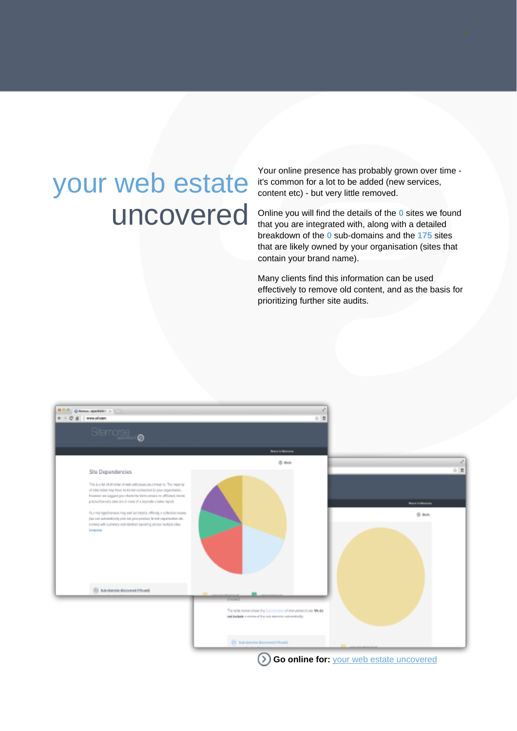## your web estate uncovered

Your online presence has probably grown over time it's common for a lot to be added (new services, content etc) - but very little removed.

Online you will find the details of the **0** sites we found that you are integrated with, along with a detailed breakdown of the **0** sub-domains and the **175** sites that are likely owned by your organisation (sites that contain your brand name).

Many clients find this information can be used effectively to remove old content, and as the basis for prioritizing further site audits.



**Go online for:** [your web estate uncovered](http://cdn.pacltd.eu/457e5c3289cf9a712ec247bf8e62b315/report-display.html)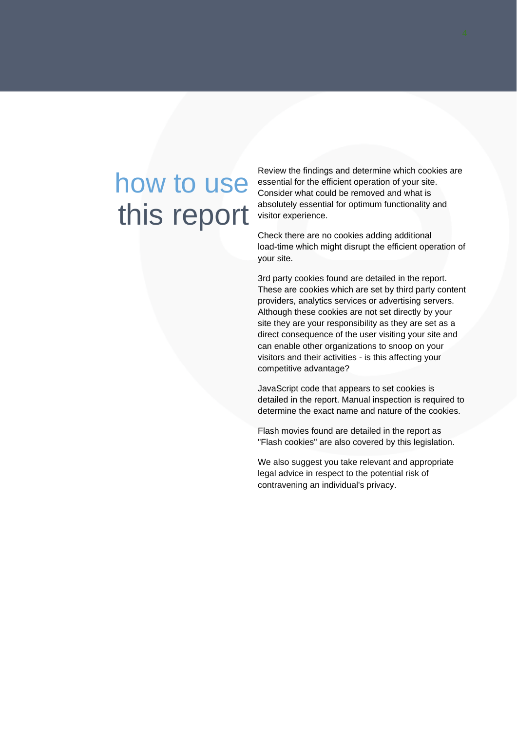## how to use this report

Review the findings and determine which cookies are essential for the efficient operation of your site. Consider what could be removed and what is absolutely essential for optimum functionality and visitor experience.

Check there are no cookies adding additional load-time which might disrupt the efficient operation of your site.

3rd party cookies found are detailed in the report. These are cookies which are set by third party content providers, analytics services or advertising servers. Although these cookies are not set directly by your site they are your responsibility as they are set as a direct consequence of the user visiting your site and can enable other organizations to snoop on your visitors and their activities - is this affecting your competitive advantage?

JavaScript code that appears to set cookies is detailed in the report. Manual inspection is required to determine the exact name and nature of the cookies.

Flash movies found are detailed in the report as "Flash cookies" are also covered by this legislation.

We also suggest you take relevant and appropriate legal advice in respect to the potential risk of contravening an individual's privacy.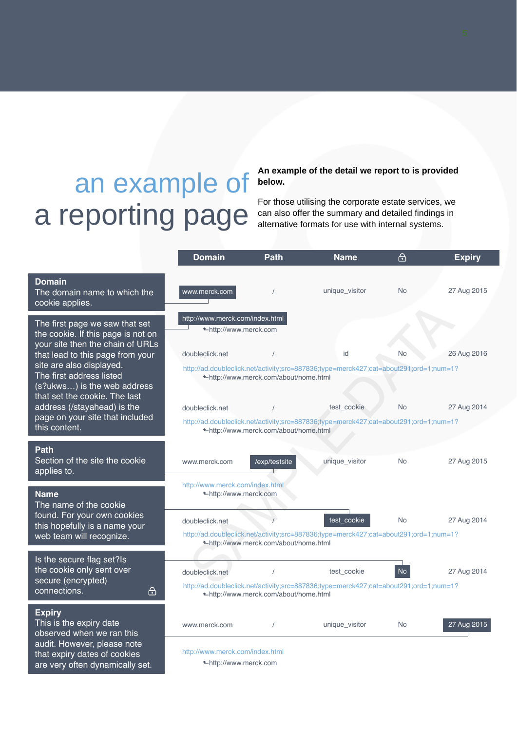# an example of a reporting page

#### **An example of the detail we report to is provided below.**

For those utilising the corporate estate services, we can also offer the summary and detailed findings in alternative formats for use with internal systems.

|                                                                                                                                                                                                                                                                      | <b>Domain</b>                                                               | <b>Path</b>                            | Name                                                                                                 | 邑         | <b>Expiry</b> |
|----------------------------------------------------------------------------------------------------------------------------------------------------------------------------------------------------------------------------------------------------------------------|-----------------------------------------------------------------------------|----------------------------------------|------------------------------------------------------------------------------------------------------|-----------|---------------|
| <b>Domain</b><br>The domain name to which the<br>cookie applies.                                                                                                                                                                                                     | www.merck.com                                                               |                                        | unique_visitor                                                                                       | No        | 27 Aug 2015   |
| The first page we saw that set<br>the cookie. If this page is not on<br>your site then the chain of URLs<br>that lead to this page from your<br>site are also displayed.<br>The first address listed<br>(s?ukws) is the web address<br>that set the cookie. The last | http://www.merck.com/index.html<br>←http://www.merck.com<br>doubleclick.net | ← http://www.merck.com/about/home.html | id<br>http://ad.doubleclick.net/activity;src=887836;type=merck427;cat=about291;ord=1;num=1?          | <b>No</b> | 26 Aug 2016   |
| address (/stayahead) is the                                                                                                                                                                                                                                          | doubleclick.net                                                             |                                        | test cookie                                                                                          | <b>No</b> | 27 Aug 2014   |
| page on your site that included<br>this content.                                                                                                                                                                                                                     |                                                                             | ←http://www.merck.com/about/home.html  | http://ad.doubleclick.net/activity;src=887836;type=merck427;cat=about291;ord=1;num=1?                |           |               |
| Path<br>Section of the site the cookie<br>applies to.                                                                                                                                                                                                                | www.merck.com                                                               | /exp/testsite                          | unique_visitor                                                                                       | <b>No</b> | 27 Aug 2015   |
| <b>Name</b><br>The name of the cookie                                                                                                                                                                                                                                | http://www.merck.com/index.html<br>←http://www.merck.com                    |                                        |                                                                                                      |           |               |
| found. For your own cookies<br>this hopefully is a name your<br>web team will recognize.                                                                                                                                                                             | doubleclick.net                                                             | ←http://www.merck.com/about/home.html  | test_cookie<br>http://ad.doubleclick.net/activity;src=887836;type=merck427;cat=about291;ord=1;num=1? | <b>No</b> | 27 Aug 2014   |
| Is the secure flag set?Is<br>the cookie only sent over<br>secure (encrypted)<br>connections.<br><u>ச</u> ு                                                                                                                                                           | doubleclick.net                                                             | ←http://www.merck.com/about/home.html  | test cookie<br>http://ad.doubleclick.net/activity;src=887836;type=merck427;cat=about291;ord=1;num=1? | <b>No</b> | 27 Aug 2014   |
| <b>Expiry</b><br>This is the expiry date<br>observed when we ran this<br>audit. However, please note                                                                                                                                                                 | www.merck.com                                                               |                                        | unique_visitor                                                                                       | <b>No</b> | 27 Aug 2015   |
| that expiry dates of cookies<br>are very often dynamically set.                                                                                                                                                                                                      | http://www.merck.com/index.html<br>←http://www.merck.com                    |                                        |                                                                                                      |           |               |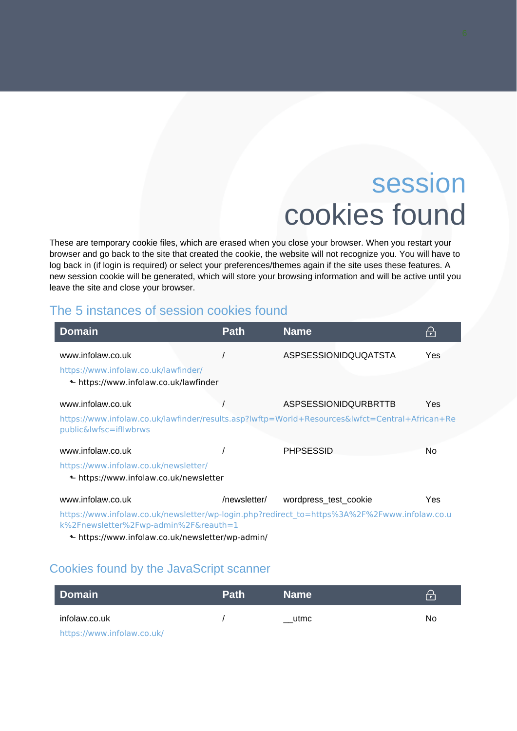### session cookies found

These are temporary cookie files, which are erased when you close your browser. When you restart your browser and go back to the site that created the cookie, the website will not recognize you. You will have to log back in (if login is required) or select your preferences/themes again if the site uses these features. A new session cookie will be generated, which will store your browsing information and will be active until you leave the site and close your browser.

### The 5 instances of session cookies found

| <b>Domain</b>                                                                                                            | <b>Path</b>  | <b>Name</b>                 | $\Theta$ |  |
|--------------------------------------------------------------------------------------------------------------------------|--------------|-----------------------------|----------|--|
| www.infolaw.co.uk                                                                                                        |              | <b>ASPSESSIONIDQUQATSTA</b> | Yes      |  |
| https://www.infolaw.co.uk/lawfinder/                                                                                     |              |                             |          |  |
| ← https://www.infolaw.co.uk/lawfinder                                                                                    |              |                             |          |  |
| www.infolaw.co.uk                                                                                                        |              | <b>ASPSESSIONIDQURBRTTB</b> | Yes      |  |
| https://www.infolaw.co.uk/lawfinder/results.asp?lwftp=World+Resources&lwfct=Central+African+Re<br>public&lwfsc=ifllwbrws |              |                             |          |  |
| www.infolaw.co.uk                                                                                                        |              | <b>PHPSESSID</b>            | No.      |  |
| https://www.infolaw.co.uk/newsletter/                                                                                    |              |                             |          |  |
| ← https://www.infolaw.co.uk/newsletter                                                                                   |              |                             |          |  |
| www.infolaw.co.uk                                                                                                        | /newsletter/ | wordpress_test_cookie       | Yes      |  |
| https://www.infolaw.co.uk/newsletter/wp-login.php?redirect_to=https%3A%2F%2Fwww.infolaw.co.u                             |              |                             |          |  |

[k%2Fnewsletter%2Fwp-admin%2F&reauth=1](https://www.infolaw.co.uk/newsletter/wp-login.php?redirect_to=https%3A%2F%2Fwww.infolaw.co.uk%2Fnewsletter%2Fwp-admin%2F&reauth=1)

⬑<https://www.infolaw.co.uk/newsletter/wp-admin/>

### Cookies found by the JavaScript scanner

| <b>Domain</b>              | <b>Path</b> | <b>Name</b> | $\Theta$ |
|----------------------------|-------------|-------------|----------|
| infolaw.co.uk              |             | utmc        | No       |
| https://www.infolaw.co.uk/ |             |             |          |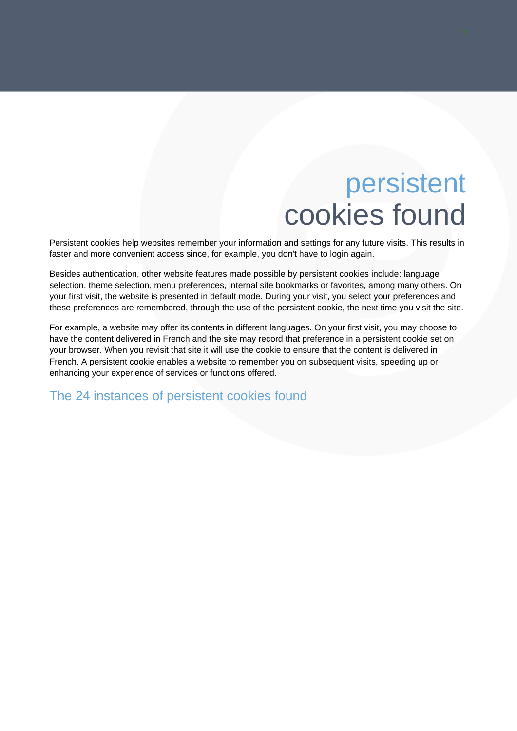### persistent cookies found

Persistent cookies help websites remember your information and settings for any future visits. This results in faster and more convenient access since, for example, you don't have to login again.

Besides authentication, other website features made possible by persistent cookies include: language selection, theme selection, menu preferences, internal site bookmarks or favorites, among many others. On your first visit, the website is presented in default mode. During your visit, you select your preferences and these preferences are remembered, through the use of the persistent cookie, the next time you visit the site.

For example, a website may offer its contents in different languages. On your first visit, you may choose to have the content delivered in French and the site may record that preference in a persistent cookie set on your browser. When you revisit that site it will use the cookie to ensure that the content is delivered in French. A persistent cookie enables a website to remember you on subsequent visits, speeding up or enhancing your experience of services or functions offered.

The 24 instances of persistent cookies found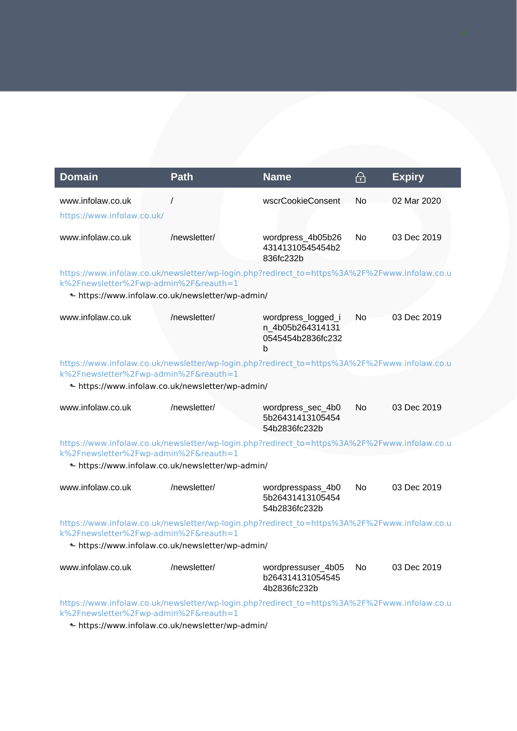| <b>Domain</b>                                                                                                                                                                             | <b>Path</b>                                      | <b>Name</b>                                                                                  | $\bigoplus$ | <b>Expiry</b> |
|-------------------------------------------------------------------------------------------------------------------------------------------------------------------------------------------|--------------------------------------------------|----------------------------------------------------------------------------------------------|-------------|---------------|
| www.infolaw.co.uk<br>https://www.infolaw.co.uk/                                                                                                                                           | $\prime$                                         | wscrCookieConsent                                                                            | No          | 02 Mar 2020   |
| www.infolaw.co.uk                                                                                                                                                                         | /newsletter/                                     | wordpress_4b05b26<br>43141310545454b2<br>836fc232b                                           | No          | 03 Dec 2019   |
| k%2Fnewsletter%2Fwp-admin%2F&reauth=1                                                                                                                                                     | ← https://www.infolaw.co.uk/newsletter/wp-admin/ | https://www.infolaw.co.uk/newsletter/wp-login.php?redirect_to=https%3A%2F%2Fwww.infolaw.co.u |             |               |
| www.infolaw.co.uk                                                                                                                                                                         | /newsletter/                                     | wordpress_logged_i<br>n_4b05b264314131<br>0545454b2836fc232<br>b                             | No          | 03 Dec 2019   |
| k%2Fnewsletter%2Fwp-admin%2F&reauth=1                                                                                                                                                     |                                                  | https://www.infolaw.co.uk/newsletter/wp-login.php?redirect_to=https%3A%2F%2Fwww.infolaw.co.u |             |               |
|                                                                                                                                                                                           | ← https://www.infolaw.co.uk/newsletter/wp-admin/ |                                                                                              |             |               |
| www.infolaw.co.uk                                                                                                                                                                         | /newsletter/                                     | wordpress_sec_4b0<br>5b26431413105454<br>54b2836fc232b                                       | <b>No</b>   | 03 Dec 2019   |
| k%2Fnewsletter%2Fwp-admin%2F&reauth=1                                                                                                                                                     |                                                  | https://www.infolaw.co.uk/newsletter/wp-login.php?redirect_to=https%3A%2F%2Fwww.infolaw.co.u |             |               |
|                                                                                                                                                                                           | ← https://www.infolaw.co.uk/newsletter/wp-admin/ |                                                                                              |             |               |
| www.infolaw.co.uk                                                                                                                                                                         | /newsletter/                                     | wordpresspass_4b0<br>5b26431413105454<br>54b2836fc232b                                       | No          | 03 Dec 2019   |
| https://www.infolaw.co.uk/newsletter/wp-login.php?redirect_to=https%3A%2F%2Fwww.infolaw.co.u<br>k%2Fnewsletter%2Fwp-admin%2F&reauth=1<br>← https://www.infolaw.co.uk/newsletter/wp-admin/ |                                                  |                                                                                              |             |               |
|                                                                                                                                                                                           |                                                  |                                                                                              |             |               |
| www.infolaw.co.uk                                                                                                                                                                         | /newsletter/                                     | wordpressuser_4b05<br>b264314131054545<br>4b2836fc232b                                       | No.         | 03 Dec 2019   |
| https://www.infolaw.co.uk/newsletter/wp-login.php?redirect_to=https%3A%2F%2Fwww.infolaw.co.u<br>k%2Fnewsletter%2Fwp-admin%2F&reauth=1                                                     |                                                  |                                                                                              |             |               |

⬑<https://www.infolaw.co.uk/newsletter/wp-admin/>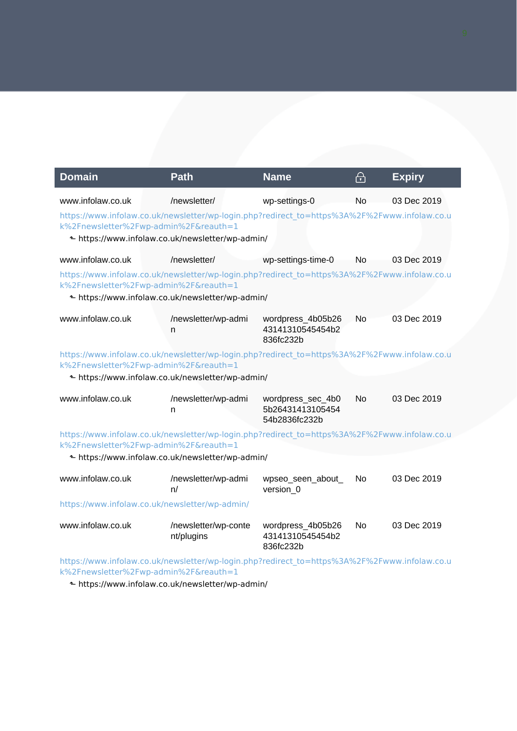| <b>Domain</b>                                                                                                                                                                             | <b>Path</b>                                                                                                                                                                               | <b>Name</b>                                            | ᠲ              | <b>Expiry</b> |  |
|-------------------------------------------------------------------------------------------------------------------------------------------------------------------------------------------|-------------------------------------------------------------------------------------------------------------------------------------------------------------------------------------------|--------------------------------------------------------|----------------|---------------|--|
| www.infolaw.co.uk                                                                                                                                                                         | /newsletter/                                                                                                                                                                              | wp-settings-0                                          | No             | 03 Dec 2019   |  |
|                                                                                                                                                                                           | https://www.infolaw.co.uk/newsletter/wp-login.php?redirect_to=https%3A%2F%2Fwww.infolaw.co.u<br>k%2Fnewsletter%2Fwp-admin%2F&reauth=1                                                     |                                                        |                |               |  |
|                                                                                                                                                                                           | ← https://www.infolaw.co.uk/newsletter/wp-admin/                                                                                                                                          |                                                        |                |               |  |
| www.infolaw.co.uk                                                                                                                                                                         | /newsletter/                                                                                                                                                                              | wp-settings-time-0                                     | No             | 03 Dec 2019   |  |
|                                                                                                                                                                                           | https://www.infolaw.co.uk/newsletter/wp-login.php?redirect_to=https%3A%2F%2Fwww.infolaw.co.u<br>k%2Fnewsletter%2Fwp-admin%2F&reauth=1                                                     |                                                        |                |               |  |
|                                                                                                                                                                                           | Lahttps://www.infolaw.co.uk/newsletter/wp-admin/                                                                                                                                          |                                                        |                |               |  |
| www.infolaw.co.uk                                                                                                                                                                         | /newsletter/wp-admi<br>n                                                                                                                                                                  | wordpress_4b05b26<br>43141310545454b2<br>836fc232b     | No             | 03 Dec 2019   |  |
|                                                                                                                                                                                           | https://www.infolaw.co.uk/newsletter/wp-login.php?redirect_to=https%3A%2F%2Fwww.infolaw.co.u<br>k%2Fnewsletter%2Fwp-admin%2F&reauth=1<br>← https://www.infolaw.co.uk/newsletter/wp-admin/ |                                                        |                |               |  |
| www.infolaw.co.uk                                                                                                                                                                         | /newsletter/wp-admi<br>n                                                                                                                                                                  | wordpress_sec_4b0<br>5b26431413105454<br>54b2836fc232b | No             | 03 Dec 2019   |  |
|                                                                                                                                                                                           | https://www.infolaw.co.uk/newsletter/wp-login.php?redirect_to=https%3A%2F%2Fwww.infolaw.co.u<br>k%2Fnewsletter%2Fwp-admin%2F&reauth=1                                                     |                                                        |                |               |  |
|                                                                                                                                                                                           | Lahttps://www.infolaw.co.uk/newsletter/wp-admin/                                                                                                                                          |                                                        |                |               |  |
| www.infolaw.co.uk                                                                                                                                                                         | /newsletter/wp-admi<br>n/                                                                                                                                                                 | wpseo_seen_about_<br>version_0                         | N <sub>o</sub> | 03 Dec 2019   |  |
| https://www.infolaw.co.uk/newsletter/wp-admin/                                                                                                                                            |                                                                                                                                                                                           |                                                        |                |               |  |
| www.infolaw.co.uk                                                                                                                                                                         | /newsletter/wp-conte<br>nt/plugins                                                                                                                                                        | wordpress_4b05b26<br>43141310545454b2<br>836fc232b     | No.            | 03 Dec 2019   |  |
| https://www.infolaw.co.uk/newsletter/wp-login.php?redirect_to=https%3A%2F%2Fwww.infolaw.co.u<br>k%2Fnewsletter%2Fwp-admin%2F&reauth=1<br>← https://www.infolaw.co.uk/newsletter/wp-admin/ |                                                                                                                                                                                           |                                                        |                |               |  |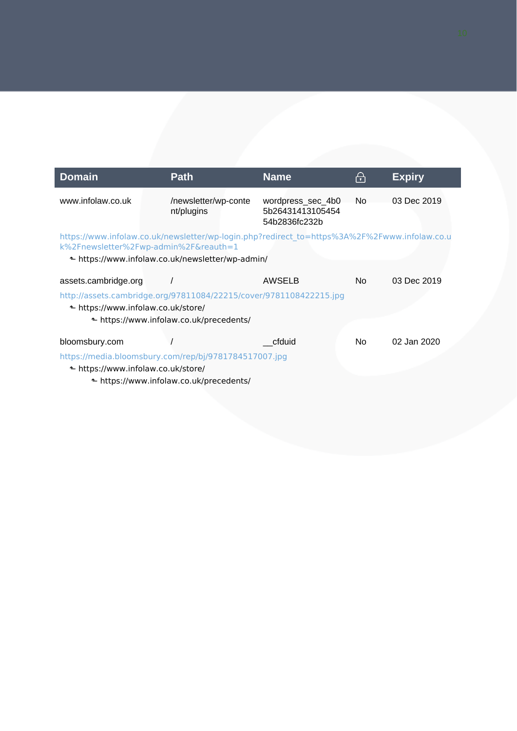| <b>Domain</b>                                              | <b>Path</b>                                                                                                                                                                               | <b>Name</b>                                            | $\bm{\bm{\leftrightarrow}}$ | <b>Expiry</b> |
|------------------------------------------------------------|-------------------------------------------------------------------------------------------------------------------------------------------------------------------------------------------|--------------------------------------------------------|-----------------------------|---------------|
| www.infolaw.co.uk                                          | /newsletter/wp-conte<br>nt/plugins                                                                                                                                                        | wordpress_sec_4b0<br>5b26431413105454<br>54b2836fc232b | No.                         | 03 Dec 2019   |
|                                                            | https://www.infolaw.co.uk/newsletter/wp-login.php?redirect_to=https%3A%2F%2Fwww.infolaw.co.u<br>k%2Fnewsletter%2Fwp-admin%2F&reauth=1<br>← https://www.infolaw.co.uk/newsletter/wp-admin/ |                                                        |                             |               |
| assets.cambridge.org<br>← https://www.infolaw.co.uk/store/ | http://assets.cambridge.org/97811084/22215/cover/9781108422215.jpg<br>← https://www.infolaw.co.uk/precedents/                                                                             | AWSELB                                                 | No.                         | 03 Dec 2019   |
| bloomsbury.com<br>← https://www.infolaw.co.uk/store/       | https://media.bloomsbury.com/rep/bj/9781784517007.jpg<br>← https://www.infolaw.co.uk/precedents/                                                                                          | cfduid                                                 | No.                         | 02 Jan 2020   |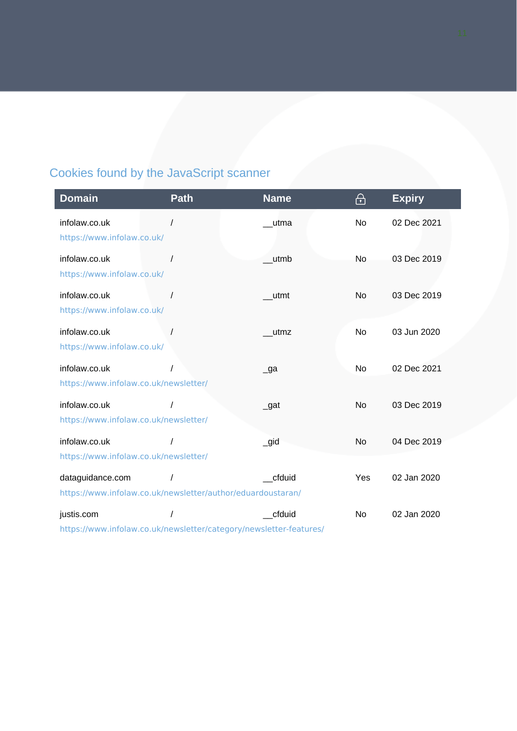### Cookies found by the JavaScript scanner

| <b>Domain</b>                         | <b>Path</b>                                                 | <b>Name</b>    | ⊕         | <b>Expiry</b> |
|---------------------------------------|-------------------------------------------------------------|----------------|-----------|---------------|
| infolaw.co.uk                         |                                                             | utma           | <b>No</b> | 02 Dec 2021   |
| https://www.infolaw.co.uk/            |                                                             |                |           |               |
| infolaw.co.uk                         |                                                             | utmb           | No.       | 03 Dec 2019   |
| https://www.infolaw.co.uk/            |                                                             |                |           |               |
| infolaw.co.uk                         |                                                             | utmt           | No        | 03 Dec 2019   |
| https://www.infolaw.co.uk/            |                                                             |                |           |               |
| infolaw.co.uk                         |                                                             | utmz           | <b>No</b> | 03 Jun 2020   |
| https://www.infolaw.co.uk/            |                                                             |                |           |               |
| infolaw.co.uk                         |                                                             | $\lrcorner$ ga | <b>No</b> | 02 Dec 2021   |
| https://www.infolaw.co.uk/newsletter/ |                                                             |                |           |               |
| infolaw.co.uk                         |                                                             | $\_$ gat       | <b>No</b> | 03 Dec 2019   |
| https://www.infolaw.co.uk/newsletter/ |                                                             |                |           |               |
| infolaw.co.uk                         |                                                             | $\_$ gid       | <b>No</b> | 04 Dec 2019   |
| https://www.infolaw.co.uk/newsletter/ |                                                             |                |           |               |
| dataguidance.com                      |                                                             | cfduid         | Yes       | 02 Jan 2020   |
|                                       | https://www.infolaw.co.uk/newsletter/author/eduardoustaran/ |                |           |               |
| justis.com                            |                                                             | cfduid         | No        | 02 Jan 2020   |
|                                       |                                                             |                |           |               |

<https://www.infolaw.co.uk/newsletter/category/newsletter-features/>